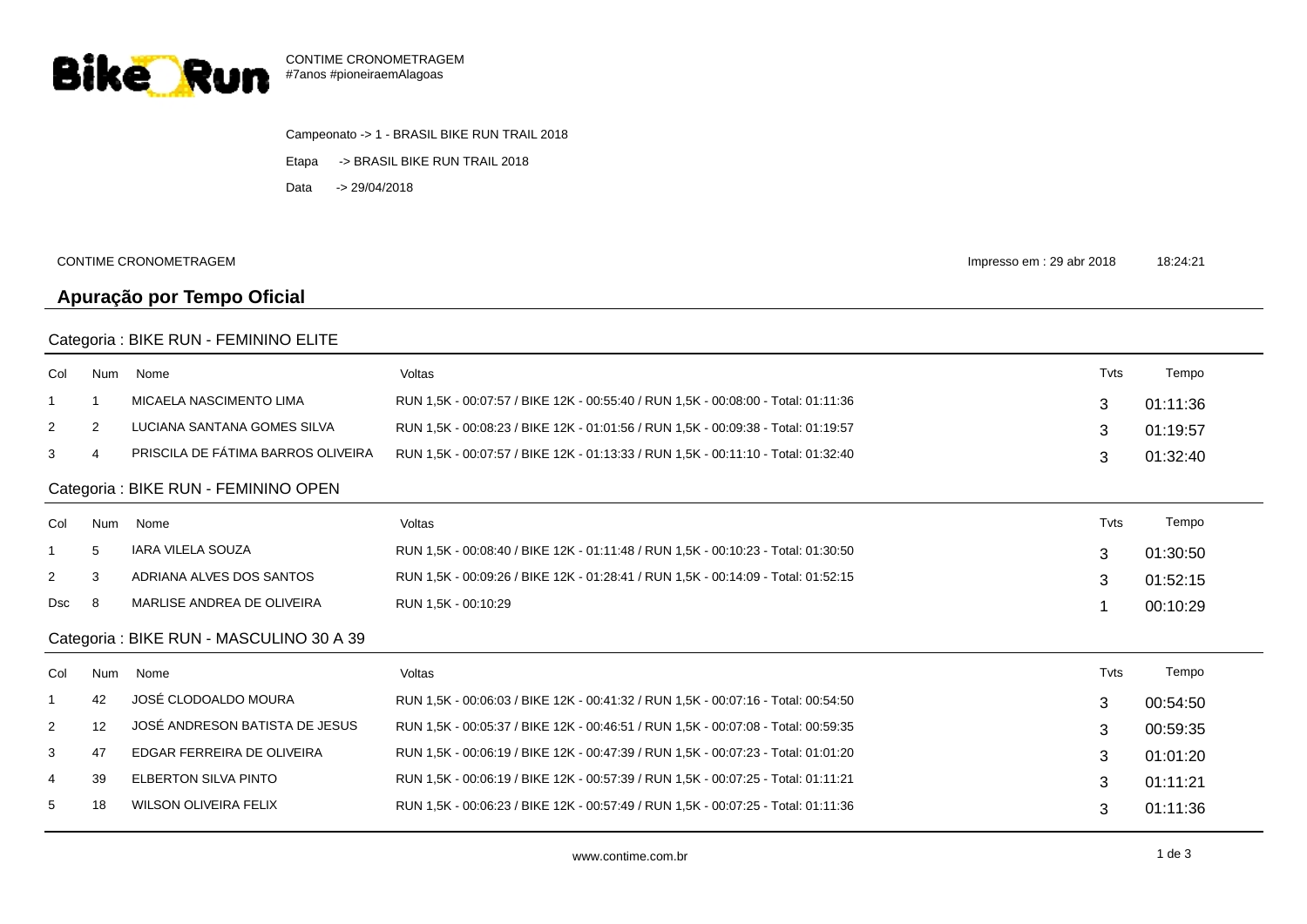

Campeonato -> 1 - BRASIL BIKE RUN TRAIL 2018 Etapa -> BRASIL BIKE RUN TRAIL 2018 Data -> 29/04/2018

CONTIME CRONOMETRAGEM

Impresso em : 29 abr 2018 18:24:21

## Categoria : BIKE RUN - FEMININO ELITE

**Apuração por Tempo Oficial**

| Col                                      | <b>Num</b>     | Nome                               | Voltas                                                                            | Tvts | Tempo    |  |  |  |
|------------------------------------------|----------------|------------------------------------|-----------------------------------------------------------------------------------|------|----------|--|--|--|
| -1                                       |                | MICAELA NASCIMENTO LIMA            | RUN 1,5K - 00:07:57 / BIKE 12K - 00:55:40 / RUN 1,5K - 00:08:00 - Total: 01:11:36 | 3    | 01:11:36 |  |  |  |
| $\overline{2}$                           | $\overline{2}$ | LUCIANA SANTANA GOMES SILVA        | RUN 1,5K - 00:08:23 / BIKE 12K - 01:01:56 / RUN 1,5K - 00:09:38 - Total: 01:19:57 | 3    | 01:19:57 |  |  |  |
| 3                                        | 4              | PRISCILA DE FÁTIMA BARROS OLIVEIRA | RUN 1,5K - 00:07:57 / BIKE 12K - 01:13:33 / RUN 1,5K - 00:11:10 - Total: 01:32:40 | 3    | 01:32:40 |  |  |  |
| Categoria : BIKE RUN - FEMININO OPEN     |                |                                    |                                                                                   |      |          |  |  |  |
| Col                                      | <b>Num</b>     | Nome                               | Voltas                                                                            | Tvts | Tempo    |  |  |  |
|                                          | 5              | <b>IARA VILELA SOUZA</b>           | RUN 1,5K - 00:08:40 / BIKE 12K - 01:11:48 / RUN 1,5K - 00:10:23 - Total: 01:30:50 | 3    | 01:30:50 |  |  |  |
| $\overline{2}$                           | 3              | ADRIANA ALVES DOS SANTOS           | RUN 1,5K - 00:09:26 / BIKE 12K - 01:28:41 / RUN 1,5K - 00:14:09 - Total: 01:52:15 | 3    | 01:52:15 |  |  |  |
| Dsc                                      | 8              | MARLISE ANDREA DE OLIVEIRA         | RUN 1.5K - 00:10:29                                                               |      | 00:10:29 |  |  |  |
| Categoria : BIKE RUN - MASCULINO 30 A 39 |                |                                    |                                                                                   |      |          |  |  |  |
| Col                                      | <b>Num</b>     | Nome                               | Voltas                                                                            | Tvts | Tempo    |  |  |  |
| $\mathbf{1}$                             | 42             | JOSÉ CLODOALDO MOURA               | RUN 1,5K - 00:06:03 / BIKE 12K - 00:41:32 / RUN 1,5K - 00:07:16 - Total: 00:54:50 | 3    | 00:54:50 |  |  |  |
| $\overline{2}$                           | 12             | JOSÉ ANDRESON BATISTA DE JESUS     | RUN 1,5K - 00:05:37 / BIKE 12K - 00:46:51 / RUN 1,5K - 00:07:08 - Total: 00:59:35 | 3    | 00:59:35 |  |  |  |
| 3                                        | 47             | EDGAR FERREIRA DE OLIVEIRA         | RUN 1.5K - 00:06:19 / BIKE 12K - 00:47:39 / RUN 1.5K - 00:07:23 - Total: 01:01:20 | 3    | 01:01:20 |  |  |  |
| 4                                        | 39             | <b>ELBERTON SILVA PINTO</b>        | RUN 1,5K - 00:06:19 / BIKE 12K - 00:57:39 / RUN 1,5K - 00:07:25 - Total: 01:11:21 | 3    | 01:11:21 |  |  |  |
| 5                                        | 18             | <b>WILSON OLIVEIRA FELIX</b>       | RUN 1,5K - 00:06:23 / BIKE 12K - 00:57:49 / RUN 1,5K - 00:07:25 - Total: 01:11:36 | 3    | 01:11:36 |  |  |  |
|                                          |                |                                    |                                                                                   |      |          |  |  |  |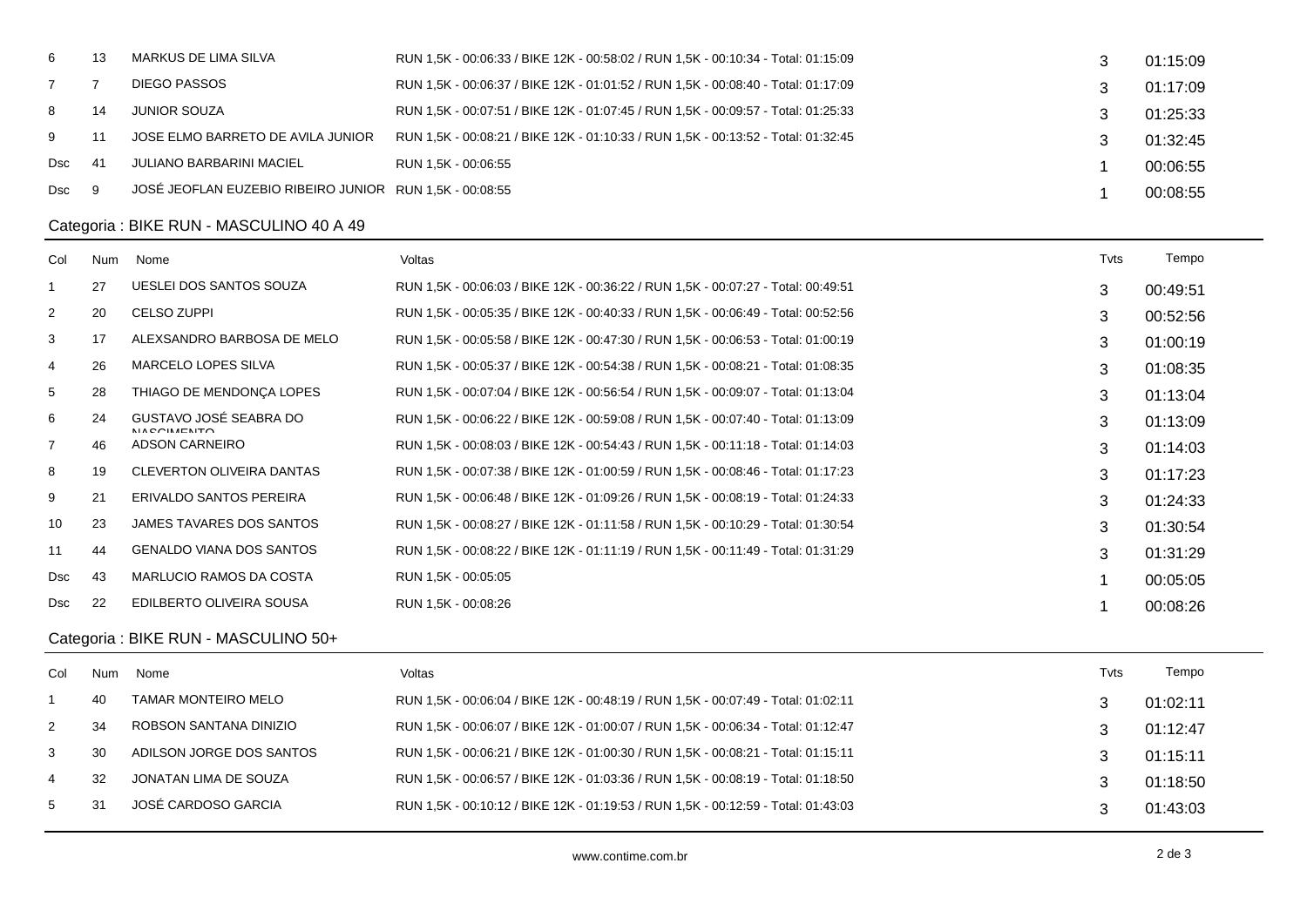| 6   | 13 | MARKUS DE LIMA SILVA                                    | RUN 1,5K - 00:06:33 / BIKE 12K - 00:58:02 / RUN 1,5K - 00:10:34 - Total: 01:15:09 | 01:15:09 |
|-----|----|---------------------------------------------------------|-----------------------------------------------------------------------------------|----------|
|     |    | DIEGO PASSOS                                            | RUN 1,5K - 00:06:37 / BIKE 12K - 01:01:52 / RUN 1,5K - 00:08:40 - Total: 01:17:09 | 01:17:09 |
| 8   | 14 | JUNIOR SOUZA                                            | RUN 1,5K - 00:07:51 / BIKE 12K - 01:07:45 / RUN 1,5K - 00:09:57 - Total: 01:25:33 | 01:25:33 |
| 9   |    | JOSE ELMO BARRETO DE AVILA JUNIOR                       | RUN 1,5K - 00:08:21 / BIKE 12K - 01:10:33 / RUN 1,5K - 00:13:52 - Total: 01:32:45 | 01:32:45 |
| Dsc | 41 | JULIANO BARBARINI MACIEL                                | RUN 1.5K - 00:06:55                                                               | 00:06:55 |
| Dsc | 9  | JOSÉ JEOFLAN EUZEBIO RIBEIRO JUNIOR RUN 1.5K - 00:08:55 |                                                                                   | 00:08:55 |
|     |    |                                                         |                                                                                   |          |

## Categoria : BIKE RUN - MASCULINO 40 A 49

| Col                                 | <b>Num</b> | Nome                                         | Voltas                                                                            | Tyts | Tempo    |  |  |
|-------------------------------------|------------|----------------------------------------------|-----------------------------------------------------------------------------------|------|----------|--|--|
| $\mathbf 1$                         | 27         | UESLEI DOS SANTOS SOUZA                      | RUN 1,5K - 00:06:03 / BIKE 12K - 00:36:22 / RUN 1,5K - 00:07:27 - Total: 00:49:51 | 3    | 00:49:51 |  |  |
| 2                                   | 20         | <b>CELSO ZUPPI</b>                           | RUN 1,5K - 00:05:35 / BIKE 12K - 00:40:33 / RUN 1,5K - 00:06:49 - Total: 00:52:56 | 3    | 00:52:56 |  |  |
| 3                                   | 17         | ALEXSANDRO BARBOSA DE MELO                   | RUN 1,5K - 00:05:58 / BIKE 12K - 00:47:30 / RUN 1,5K - 00:06:53 - Total: 01:00:19 | 3    | 01:00:19 |  |  |
| 4                                   | 26         | <b>MARCELO LOPES SILVA</b>                   | RUN 1,5K - 00:05:37 / BIKE 12K - 00:54:38 / RUN 1,5K - 00:08:21 - Total: 01:08:35 | 3    | 01:08:35 |  |  |
| 5                                   | 28         | THIAGO DE MENDONCA LOPES                     | RUN 1,5K - 00:07:04 / BIKE 12K - 00:56:54 / RUN 1,5K - 00:09:07 - Total: 01:13:04 | 3    | 01:13:04 |  |  |
| 6                                   | 24         | GUSTAVO JOSÉ SEABRA DO<br><b>NIACCIMENTO</b> | RUN 1,5K - 00:06:22 / BIKE 12K - 00:59:08 / RUN 1,5K - 00:07:40 - Total: 01:13:09 | 3    | 01:13:09 |  |  |
| 7                                   | 46         | ADSON CARNEIRO                               | RUN 1,5K - 00:08:03 / BIKE 12K - 00:54:43 / RUN 1,5K - 00:11:18 - Total: 01:14:03 | 3    | 01:14:03 |  |  |
| 8                                   | 19         | CLEVERTON OLIVEIRA DANTAS                    | RUN 1,5K - 00:07:38 / BIKE 12K - 01:00:59 / RUN 1,5K - 00:08:46 - Total: 01:17:23 | 3    | 01:17:23 |  |  |
| 9                                   | 21         | ERIVALDO SANTOS PEREIRA                      | RUN 1.5K - 00:06:48 / BIKE 12K - 01:09:26 / RUN 1.5K - 00:08:19 - Total: 01:24:33 | 3    | 01:24:33 |  |  |
| 10                                  | 23         | JAMES TAVARES DOS SANTOS                     | RUN 1,5K - 00:08:27 / BIKE 12K - 01:11:58 / RUN 1,5K - 00:10:29 - Total: 01:30:54 | 3    | 01:30:54 |  |  |
| 11                                  | 44         | <b>GENALDO VIANA DOS SANTOS</b>              | RUN 1,5K - 00:08:22 / BIKE 12K - 01:11:19 / RUN 1,5K - 00:11:49 - Total: 01:31:29 | 3    | 01:31:29 |  |  |
| <b>Dsc</b>                          | 43         | <b>MARLUCIO RAMOS DA COSTA</b>               | RUN 1,5K - 00:05:05                                                               |      | 00:05:05 |  |  |
| <b>Dsc</b>                          | 22         | EDILBERTO OLIVEIRA SOUSA                     | RUN 1,5K - 00:08:26                                                               |      | 00:08:26 |  |  |
| Categoria: BIKE RUN - MASCULINO 50+ |            |                                              |                                                                                   |      |          |  |  |
| Col                                 | Num        | Nome                                         | Voltas                                                                            | Tyts | Tempo    |  |  |

|                | 40 | TAMAR MONTEIRO MELO      | RUN 1,5K - 00:06:04 / BIKE 12K - 00:48:19 / RUN 1,5K - 00:07:49 - Total: 01:02:11 | 01:02:11 |
|----------------|----|--------------------------|-----------------------------------------------------------------------------------|----------|
|                | 34 | ROBSON SANTANA DINIZIO   | RUN 1,5K - 00:06:07 / BIKE 12K - 01:00:07 / RUN 1,5K - 00:06:34 - Total: 01:12:47 | 01:12:47 |
| 3              | 30 | ADILSON JORGE DOS SANTOS | RUN 1,5K - 00:06:21 / BIKE 12K - 01:00:30 / RUN 1,5K - 00:08:21 - Total: 01:15:11 | 01:15:11 |
| $\overline{4}$ | 32 | JONATAN LIMA DE SOUZA    | RUN 1,5K - 00:06:57 / BIKE 12K - 01:03:36 / RUN 1,5K - 00:08:19 - Total: 01:18:50 | 01:18:50 |
| $5 -$          | 31 | JOSÉ CARDOSO GARCIA      | RUN 1,5K - 00:10:12 / BIKE 12K - 01:19:53 / RUN 1,5K - 00:12:59 - Total: 01:43:03 | 01:43:03 |